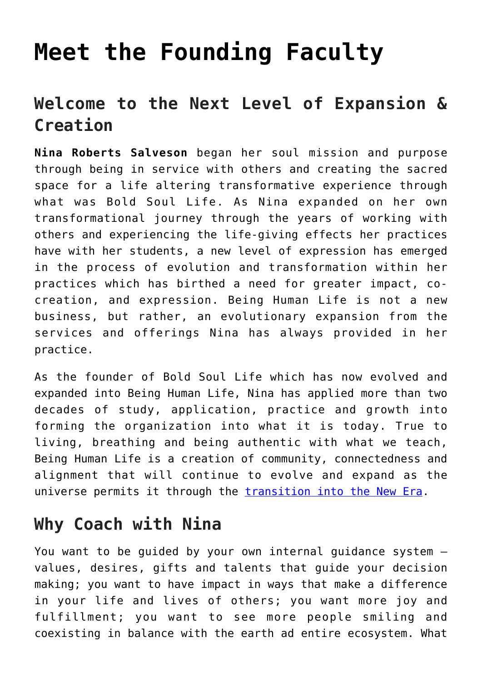# **[Meet the Founding Faculty](https://beinghumanlife.com/about-being-human-life/meet-the-founder-faculty/)**

## **Welcome to the Next Level of Expansion & Creation**

**Nina Roberts Salveson** began her soul mission and purpose through being in service with others and creating the sacred space for a life altering transformative experience through what was Bold Soul Life. As Nina expanded on her own transformational journey through the years of working with others and experiencing the life-giving effects her practices have with her students, a new level of expression has emerged in the process of evolution and transformation within her practices which has birthed a need for greater impact, cocreation, and expression. Being Human Life is not a new business, but rather, an evolutionary expansion from the services and offerings Nina has always provided in her practice.

As the founder of Bold Soul Life which has now evolved and expanded into Being Human Life, Nina has applied more than two decades of study, application, practice and growth into forming the organization into what it is today. True to living, breathing and being authentic with what we teach, Being Human Life is a creation of community, connectedness and alignment that will continue to evolve and expand as the universe permits it through the [transition into the New Era](https://staging.beinghumanlife.com/the-new-era/).

### **Why Coach with Nina**

You want to be guided by your own internal guidance system – values, desires, gifts and talents that guide your decision making; you want to have impact in ways that make a difference in your life and lives of others; you want more joy and fulfillment; you want to see more people smiling and coexisting in balance with the earth ad entire ecosystem. What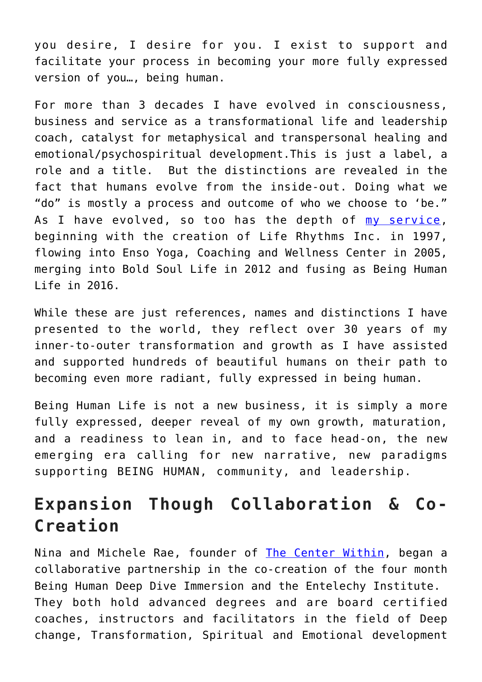you desire, I desire for you. I exist to support and facilitate your process in becoming your more fully expressed version of you…, being human.

For more than 3 decades I have evolved in consciousness, business and service as a transformational life and leadership coach, catalyst for metaphysical and transpersonal healing and emotional/psychospiritual development.This is just a label, a role and a title. But the distinctions are revealed in the fact that humans evolve from the inside-out. Doing what we "do" is mostly a process and outcome of who we choose to 'be." As I have evolved, so too has the depth of [my service,](https://staging.beinghumanlife.com/work-with-nina/) beginning with the creation of Life Rhythms Inc. in 1997, flowing into Enso Yoga, Coaching and Wellness Center in 2005, merging into Bold Soul Life in 2012 and fusing as Being Human Life in 2016.

While these are just references, names and distinctions I have presented to the world, they reflect over 30 years of my inner-to-outer transformation and growth as I have assisted and supported hundreds of beautiful humans on their path to becoming even more radiant, fully expressed in being human.

Being Human Life is not a new business, it is simply a more fully expressed, deeper reveal of my own growth, maturation, and a readiness to lean in, and to face head-on, the new emerging era calling for new narrative, new paradigms supporting BEING HUMAN, community, and leadership.

## **Expansion Though Collaboration & Co-Creation**

Nina and Michele Rae, founder of [The Center Within,](http://www.centerwithin.com) began a collaborative partnership in the co-creation of the four month Being Human Deep Dive Immersion and the Entelechy Institute. They both hold advanced degrees and are board certified coaches, instructors and facilitators in the field of Deep change, Transformation, Spiritual and Emotional development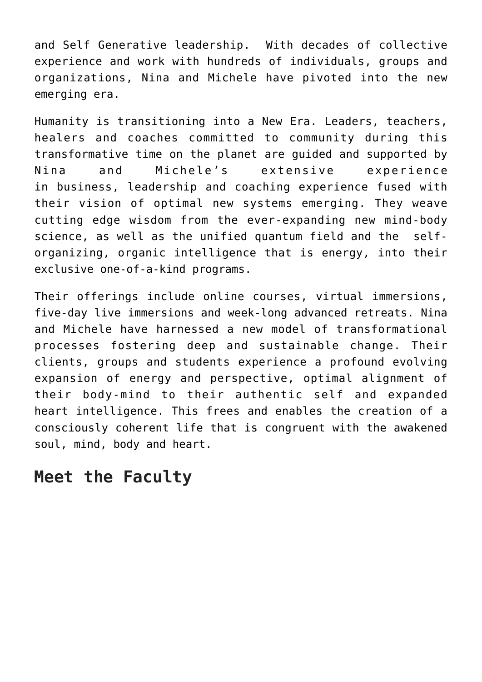and Self Generative leadership. With decades of collective experience and work with hundreds of individuals, groups and organizations, Nina and Michele have pivoted into the new emerging era.

Humanity is transitioning into a New Era. Leaders, teachers, healers and coaches committed to community during this transformative time on the planet are guided and supported by Nina and Michele's extensive experience in business, leadership and coaching experience fused with their vision of optimal new systems emerging. They weave cutting edge wisdom from the ever-expanding new mind-body science, as well as the unified quantum field and the selforganizing, organic intelligence that is energy, into their exclusive one-of-a-kind programs.

Their offerings include online courses, virtual immersions, five-day live immersions and week-long advanced retreats. Nina and Michele have harnessed a new model of transformational processes fostering deep and sustainable change. Their clients, groups and students experience a profound evolving expansion of energy and perspective, optimal alignment of their body-mind to their authentic self and expanded heart intelligence. This frees and enables the creation of a consciously coherent life that is congruent with the awakened soul, mind, body and heart.

#### **Meet the Faculty**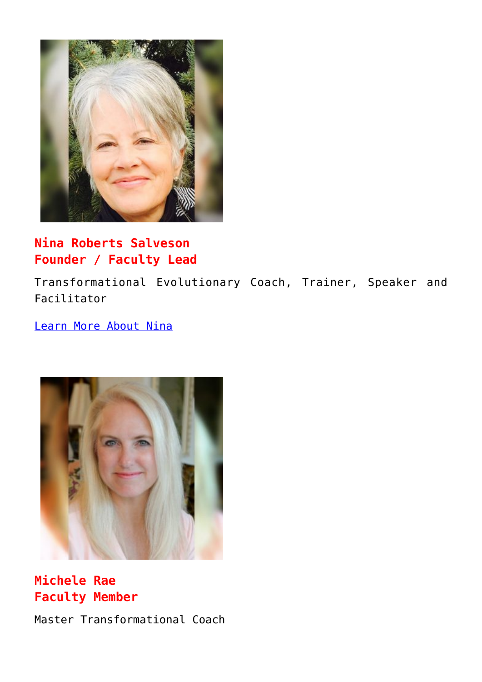

#### **Nina Roberts Salveson Founder / Faculty Lead**

Transformational Evolutionary Coach, Trainer, Speaker and Facilitator

[Learn More About Nina](http://beinghumanlife.com/faculty_members/nina-roberts-salveson/)



#### **Michele Rae Faculty Member**

Master Transformational Coach